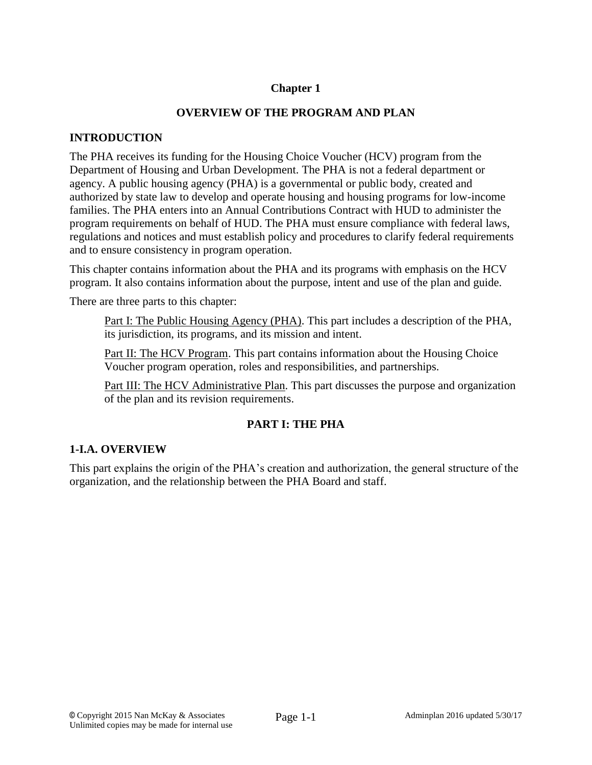### **Chapter 1**

#### **OVERVIEW OF THE PROGRAM AND PLAN**

#### **INTRODUCTION**

The PHA receives its funding for the Housing Choice Voucher (HCV) program from the Department of Housing and Urban Development. The PHA is not a federal department or agency. A public housing agency (PHA) is a governmental or public body, created and authorized by state law to develop and operate housing and housing programs for low-income families. The PHA enters into an Annual Contributions Contract with HUD to administer the program requirements on behalf of HUD. The PHA must ensure compliance with federal laws, regulations and notices and must establish policy and procedures to clarify federal requirements and to ensure consistency in program operation.

This chapter contains information about the PHA and its programs with emphasis on the HCV program. It also contains information about the purpose, intent and use of the plan and guide.

There are three parts to this chapter:

Part I: The Public Housing Agency (PHA). This part includes a description of the PHA, its jurisdiction, its programs, and its mission and intent.

Part II: The HCV Program. This part contains information about the Housing Choice Voucher program operation, roles and responsibilities, and partnerships.

Part III: The HCV Administrative Plan. This part discusses the purpose and organization of the plan and its revision requirements.

### **PART I: THE PHA**

### **1-I.A. OVERVIEW**

This part explains the origin of the PHA's creation and authorization, the general structure of the organization, and the relationship between the PHA Board and staff.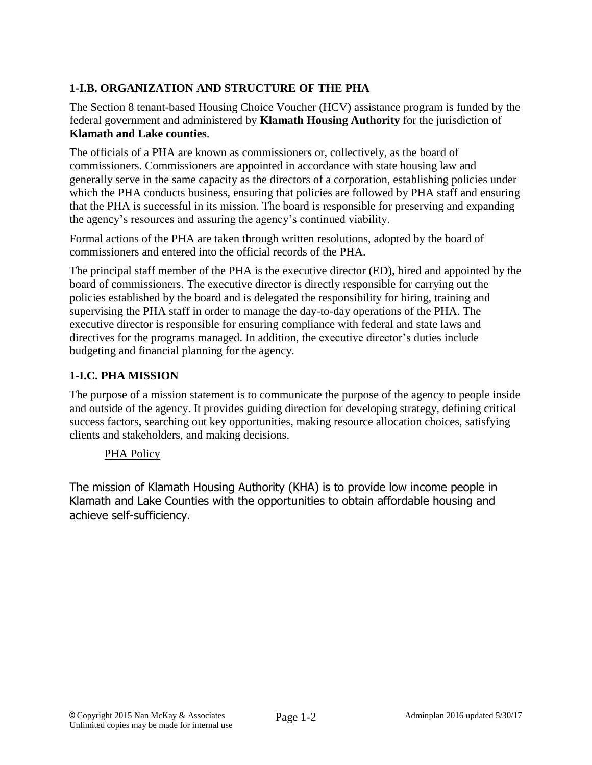# **1-I.B. ORGANIZATION AND STRUCTURE OF THE PHA**

The Section 8 tenant-based Housing Choice Voucher (HCV) assistance program is funded by the federal government and administered by **Klamath Housing Authority** for the jurisdiction of **Klamath and Lake counties**.

The officials of a PHA are known as commissioners or, collectively, as the board of commissioners. Commissioners are appointed in accordance with state housing law and generally serve in the same capacity as the directors of a corporation, establishing policies under which the PHA conducts business, ensuring that policies are followed by PHA staff and ensuring that the PHA is successful in its mission. The board is responsible for preserving and expanding the agency's resources and assuring the agency's continued viability.

Formal actions of the PHA are taken through written resolutions, adopted by the board of commissioners and entered into the official records of the PHA.

The principal staff member of the PHA is the executive director (ED), hired and appointed by the board of commissioners. The executive director is directly responsible for carrying out the policies established by the board and is delegated the responsibility for hiring, training and supervising the PHA staff in order to manage the day-to-day operations of the PHA. The executive director is responsible for ensuring compliance with federal and state laws and directives for the programs managed. In addition, the executive director's duties include budgeting and financial planning for the agency.

## **1-I.C. PHA MISSION**

The purpose of a mission statement is to communicate the purpose of the agency to people inside and outside of the agency. It provides guiding direction for developing strategy, defining critical success factors, searching out key opportunities, making resource allocation choices, satisfying clients and stakeholders, and making decisions.

### PHA Policy

The mission of Klamath Housing Authority (KHA) is to provide low income people in Klamath and Lake Counties with the opportunities to obtain affordable housing and achieve self-sufficiency.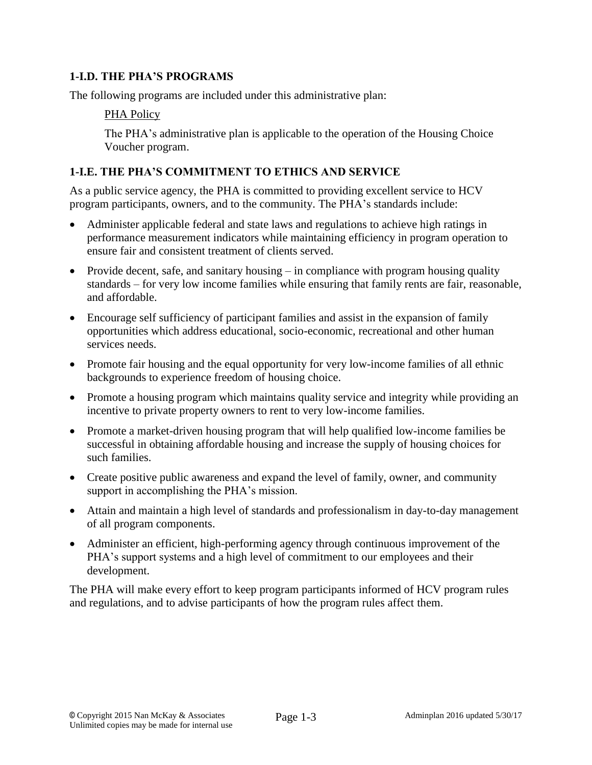### **1-I.D. THE PHA'S PROGRAMS**

The following programs are included under this administrative plan:

### PHA Policy

The PHA's administrative plan is applicable to the operation of the Housing Choice Voucher program.

### **1-I.E. THE PHA'S COMMITMENT TO ETHICS AND SERVICE**

As a public service agency, the PHA is committed to providing excellent service to HCV program participants, owners, and to the community. The PHA's standards include:

- Administer applicable federal and state laws and regulations to achieve high ratings in performance measurement indicators while maintaining efficiency in program operation to ensure fair and consistent treatment of clients served.
- Provide decent, safe, and sanitary housing  $-$  in compliance with program housing quality standards – for very low income families while ensuring that family rents are fair, reasonable, and affordable.
- Encourage self sufficiency of participant families and assist in the expansion of family opportunities which address educational, socio-economic, recreational and other human services needs.
- Promote fair housing and the equal opportunity for very low-income families of all ethnic backgrounds to experience freedom of housing choice.
- Promote a housing program which maintains quality service and integrity while providing an incentive to private property owners to rent to very low-income families.
- Promote a market-driven housing program that will help qualified low-income families be successful in obtaining affordable housing and increase the supply of housing choices for such families.
- Create positive public awareness and expand the level of family, owner, and community support in accomplishing the PHA's mission.
- Attain and maintain a high level of standards and professionalism in day-to-day management of all program components.
- Administer an efficient, high-performing agency through continuous improvement of the PHA's support systems and a high level of commitment to our employees and their development.

The PHA will make every effort to keep program participants informed of HCV program rules and regulations, and to advise participants of how the program rules affect them.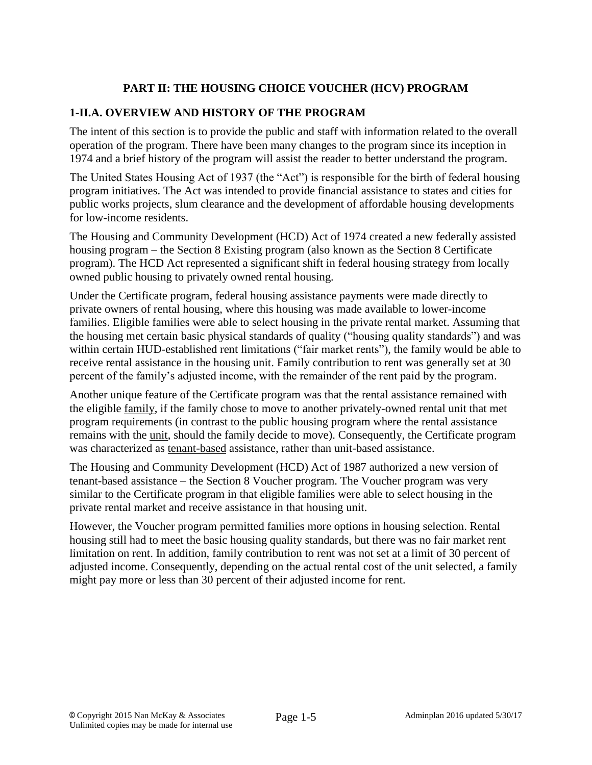## **PART II: THE HOUSING CHOICE VOUCHER (HCV) PROGRAM**

### **1-II.A. OVERVIEW AND HISTORY OF THE PROGRAM**

The intent of this section is to provide the public and staff with information related to the overall operation of the program. There have been many changes to the program since its inception in 1974 and a brief history of the program will assist the reader to better understand the program.

The United States Housing Act of 1937 (the "Act") is responsible for the birth of federal housing program initiatives. The Act was intended to provide financial assistance to states and cities for public works projects, slum clearance and the development of affordable housing developments for low-income residents.

The Housing and Community Development (HCD) Act of 1974 created a new federally assisted housing program – the Section 8 Existing program (also known as the Section 8 Certificate program). The HCD Act represented a significant shift in federal housing strategy from locally owned public housing to privately owned rental housing.

Under the Certificate program, federal housing assistance payments were made directly to private owners of rental housing, where this housing was made available to lower-income families. Eligible families were able to select housing in the private rental market. Assuming that the housing met certain basic physical standards of quality ("housing quality standards") and was within certain HUD-established rent limitations ("fair market rents"), the family would be able to receive rental assistance in the housing unit. Family contribution to rent was generally set at 30 percent of the family's adjusted income, with the remainder of the rent paid by the program.

Another unique feature of the Certificate program was that the rental assistance remained with the eligible family, if the family chose to move to another privately-owned rental unit that met program requirements (in contrast to the public housing program where the rental assistance remains with the unit, should the family decide to move). Consequently, the Certificate program was characterized as tenant-based assistance, rather than unit-based assistance.

The Housing and Community Development (HCD) Act of 1987 authorized a new version of tenant-based assistance – the Section 8 Voucher program. The Voucher program was very similar to the Certificate program in that eligible families were able to select housing in the private rental market and receive assistance in that housing unit.

However, the Voucher program permitted families more options in housing selection. Rental housing still had to meet the basic housing quality standards, but there was no fair market rent limitation on rent. In addition, family contribution to rent was not set at a limit of 30 percent of adjusted income. Consequently, depending on the actual rental cost of the unit selected, a family might pay more or less than 30 percent of their adjusted income for rent.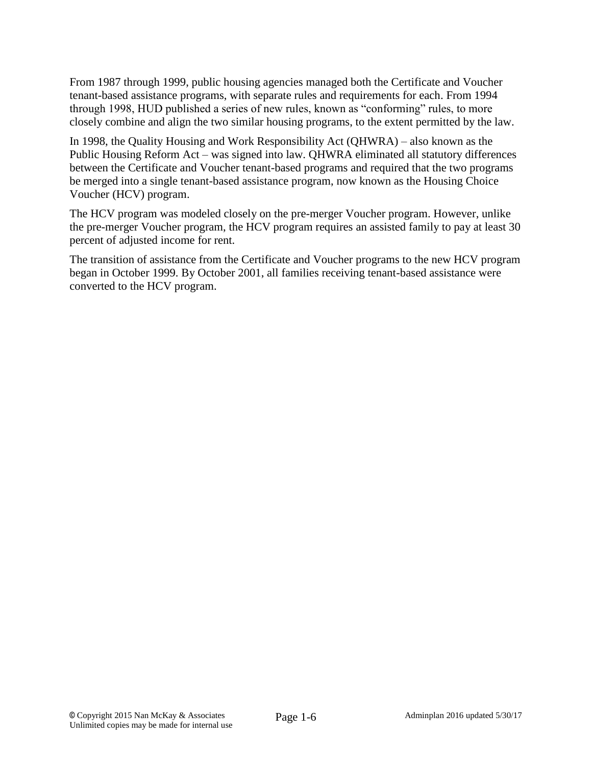From 1987 through 1999, public housing agencies managed both the Certificate and Voucher tenant-based assistance programs, with separate rules and requirements for each. From 1994 through 1998, HUD published a series of new rules, known as "conforming" rules, to more closely combine and align the two similar housing programs, to the extent permitted by the law.

In 1998, the Quality Housing and Work Responsibility Act (QHWRA) – also known as the Public Housing Reform Act – was signed into law. QHWRA eliminated all statutory differences between the Certificate and Voucher tenant-based programs and required that the two programs be merged into a single tenant-based assistance program, now known as the Housing Choice Voucher (HCV) program.

The HCV program was modeled closely on the pre-merger Voucher program. However, unlike the pre-merger Voucher program, the HCV program requires an assisted family to pay at least 30 percent of adjusted income for rent.

The transition of assistance from the Certificate and Voucher programs to the new HCV program began in October 1999. By October 2001, all families receiving tenant-based assistance were converted to the HCV program.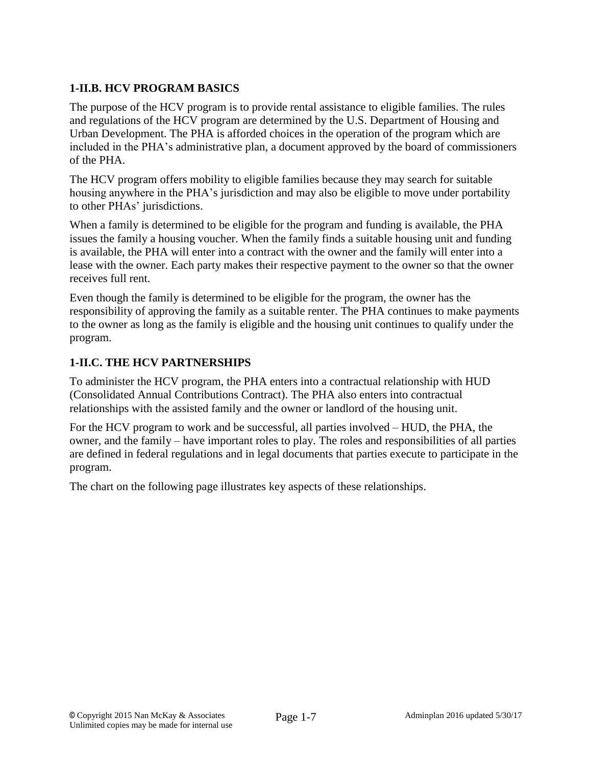## **1-II.B. HCV PROGRAM BASICS**

The purpose of the HCV program is to provide rental assistance to eligible families. The rules and regulations of the HCV program are determined by the U.S. Department of Housing and Urban Development. The PHA is afforded choices in the operation of the program which are included in the PHA's administrative plan, a document approved by the board of commissioners of the PHA.

The HCV program offers mobility to eligible families because they may search for suitable housing anywhere in the PHA's jurisdiction and may also be eligible to move under portability to other PHAs' jurisdictions.

When a family is determined to be eligible for the program and funding is available, the PHA issues the family a housing voucher. When the family finds a suitable housing unit and funding is available, the PHA will enter into a contract with the owner and the family will enter into a lease with the owner. Each party makes their respective payment to the owner so that the owner receives full rent.

Even though the family is determined to be eligible for the program, the owner has the responsibility of approving the family as a suitable renter. The PHA continues to make payments to the owner as long as the family is eligible and the housing unit continues to qualify under the program.

## **1-II.C. THE HCV PARTNERSHIPS**

To administer the HCV program, the PHA enters into a contractual relationship with HUD (Consolidated Annual Contributions Contract). The PHA also enters into contractual relationships with the assisted family and the owner or landlord of the housing unit.

For the HCV program to work and be successful, all parties involved – HUD, the PHA, the owner, and the family – have important roles to play. The roles and responsibilities of all parties are defined in federal regulations and in legal documents that parties execute to participate in the program.

The chart on the following page illustrates key aspects of these relationships.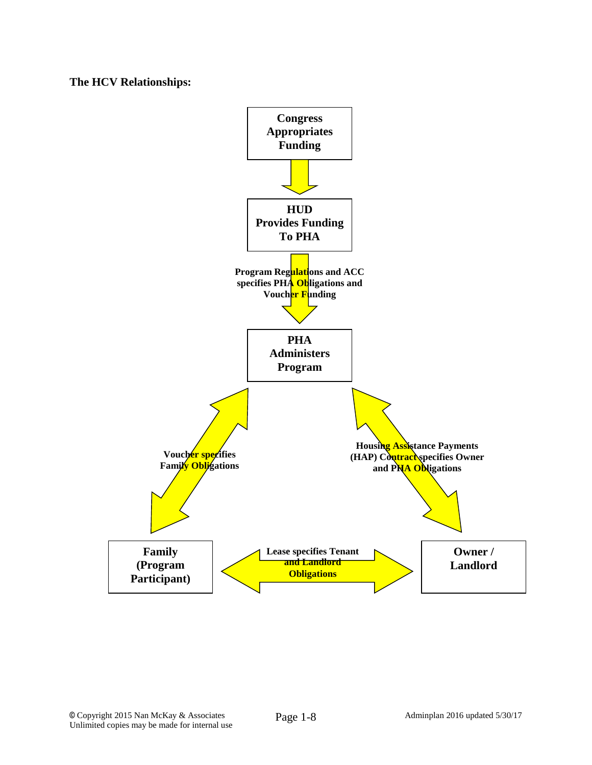**The HCV Relationships:**

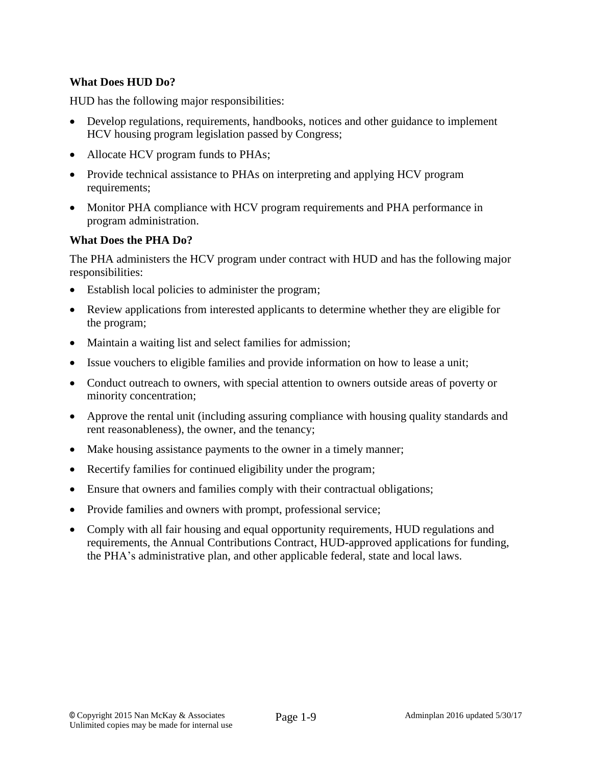### **What Does HUD Do?**

HUD has the following major responsibilities:

- Develop regulations, requirements, handbooks, notices and other guidance to implement HCV housing program legislation passed by Congress;
- Allocate HCV program funds to PHAs;
- Provide technical assistance to PHAs on interpreting and applying HCV program requirements;
- Monitor PHA compliance with HCV program requirements and PHA performance in program administration.

#### **What Does the PHA Do?**

The PHA administers the HCV program under contract with HUD and has the following major responsibilities:

- Establish local policies to administer the program;
- Review applications from interested applicants to determine whether they are eligible for the program;
- Maintain a waiting list and select families for admission;
- Issue vouchers to eligible families and provide information on how to lease a unit;
- Conduct outreach to owners, with special attention to owners outside areas of poverty or minority concentration;
- Approve the rental unit (including assuring compliance with housing quality standards and rent reasonableness), the owner, and the tenancy;
- Make housing assistance payments to the owner in a timely manner;
- Recertify families for continued eligibility under the program;
- Ensure that owners and families comply with their contractual obligations;
- Provide families and owners with prompt, professional service;
- Comply with all fair housing and equal opportunity requirements, HUD regulations and requirements, the Annual Contributions Contract, HUD-approved applications for funding, the PHA's administrative plan, and other applicable federal, state and local laws.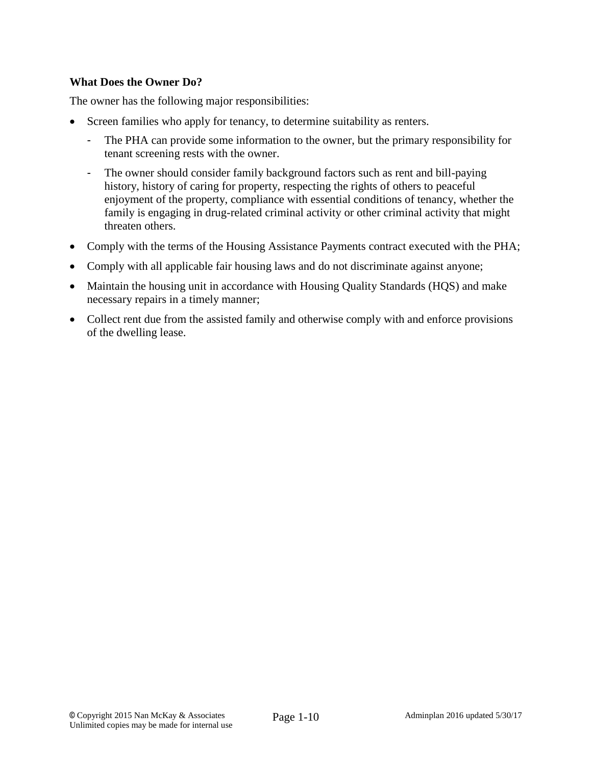### **What Does the Owner Do?**

The owner has the following major responsibilities:

- Screen families who apply for tenancy, to determine suitability as renters.
	- The PHA can provide some information to the owner, but the primary responsibility for tenant screening rests with the owner.
	- The owner should consider family background factors such as rent and bill-paying history, history of caring for property, respecting the rights of others to peaceful enjoyment of the property, compliance with essential conditions of tenancy, whether the family is engaging in drug-related criminal activity or other criminal activity that might threaten others.
- Comply with the terms of the Housing Assistance Payments contract executed with the PHA;
- Comply with all applicable fair housing laws and do not discriminate against anyone;
- Maintain the housing unit in accordance with Housing Quality Standards (HQS) and make necessary repairs in a timely manner;
- Collect rent due from the assisted family and otherwise comply with and enforce provisions of the dwelling lease.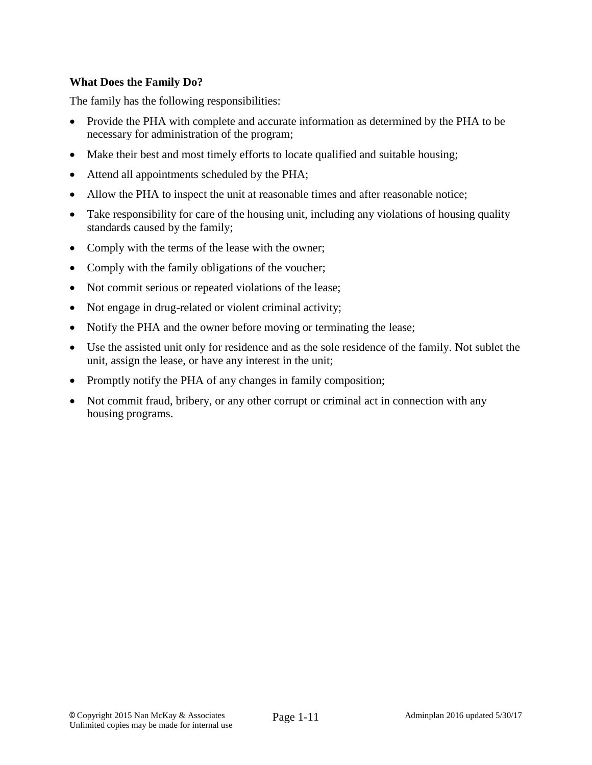### **What Does the Family Do?**

The family has the following responsibilities:

- Provide the PHA with complete and accurate information as determined by the PHA to be necessary for administration of the program;
- Make their best and most timely efforts to locate qualified and suitable housing;
- Attend all appointments scheduled by the PHA;
- Allow the PHA to inspect the unit at reasonable times and after reasonable notice;
- Take responsibility for care of the housing unit, including any violations of housing quality standards caused by the family;
- Comply with the terms of the lease with the owner;
- Comply with the family obligations of the voucher;
- Not commit serious or repeated violations of the lease;
- Not engage in drug-related or violent criminal activity;
- Notify the PHA and the owner before moving or terminating the lease;
- Use the assisted unit only for residence and as the sole residence of the family. Not sublet the unit, assign the lease, or have any interest in the unit;
- Promptly notify the PHA of any changes in family composition;
- Not commit fraud, bribery, or any other corrupt or criminal act in connection with any housing programs.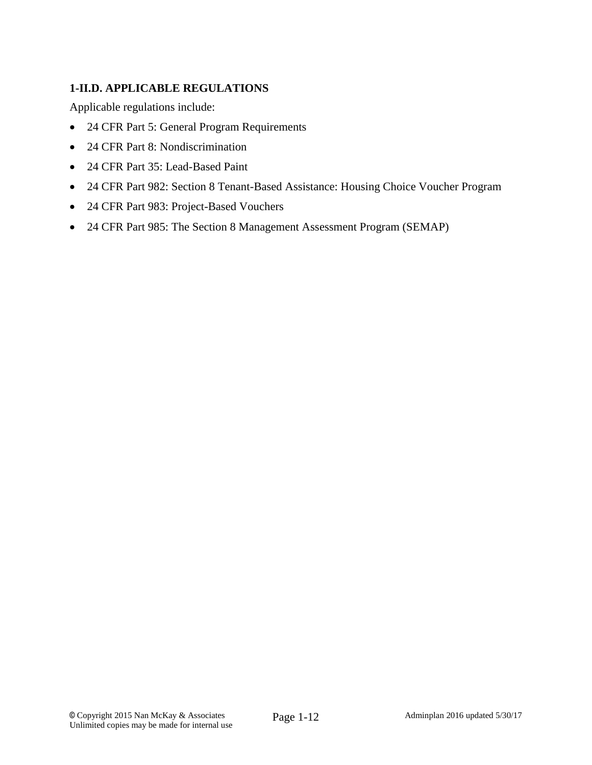## **1-II.D. APPLICABLE REGULATIONS**

Applicable regulations include:

- 24 CFR Part 5: General Program Requirements
- 24 CFR Part 8: Nondiscrimination
- 24 CFR Part 35: Lead-Based Paint
- 24 CFR Part 982: Section 8 Tenant-Based Assistance: Housing Choice Voucher Program
- 24 CFR Part 983: Project-Based Vouchers
- 24 CFR Part 985: The Section 8 Management Assessment Program (SEMAP)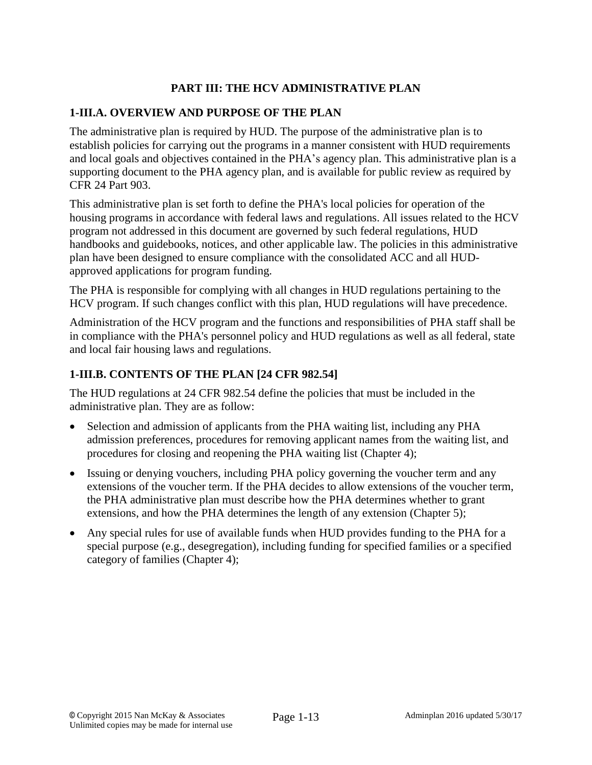## **PART III: THE HCV ADMINISTRATIVE PLAN**

#### **1-III.A. OVERVIEW AND PURPOSE OF THE PLAN**

The administrative plan is required by HUD. The purpose of the administrative plan is to establish policies for carrying out the programs in a manner consistent with HUD requirements and local goals and objectives contained in the PHA's agency plan. This administrative plan is a supporting document to the PHA agency plan, and is available for public review as required by CFR 24 Part 903.

This administrative plan is set forth to define the PHA's local policies for operation of the housing programs in accordance with federal laws and regulations. All issues related to the HCV program not addressed in this document are governed by such federal regulations, HUD handbooks and guidebooks, notices, and other applicable law. The policies in this administrative plan have been designed to ensure compliance with the consolidated ACC and all HUDapproved applications for program funding.

The PHA is responsible for complying with all changes in HUD regulations pertaining to the HCV program. If such changes conflict with this plan, HUD regulations will have precedence.

Administration of the HCV program and the functions and responsibilities of PHA staff shall be in compliance with the PHA's personnel policy and HUD regulations as well as all federal, state and local fair housing laws and regulations.

### **1-III.B. CONTENTS OF THE PLAN [24 CFR 982.54]**

The HUD regulations at 24 CFR 982.54 define the policies that must be included in the administrative plan. They are as follow:

- Selection and admission of applicants from the PHA waiting list, including any PHA admission preferences, procedures for removing applicant names from the waiting list, and procedures for closing and reopening the PHA waiting list (Chapter 4);
- Issuing or denying vouchers, including PHA policy governing the voucher term and any extensions of the voucher term. If the PHA decides to allow extensions of the voucher term, the PHA administrative plan must describe how the PHA determines whether to grant extensions, and how the PHA determines the length of any extension (Chapter 5);
- Any special rules for use of available funds when HUD provides funding to the PHA for a special purpose (e.g., desegregation), including funding for specified families or a specified category of families (Chapter 4);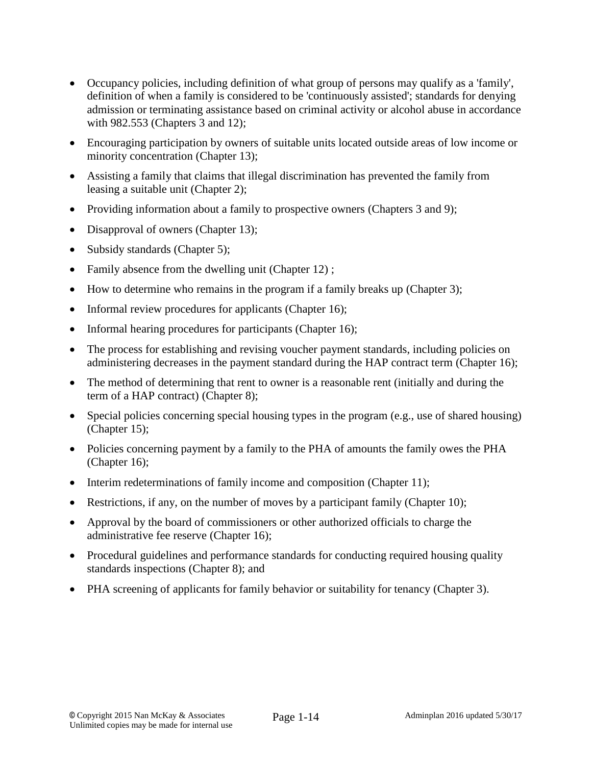- Occupancy policies, including definition of what group of persons may qualify as a 'family', definition of when a family is considered to be 'continuously assisted'; standards for denying admission or terminating assistance based on criminal activity or alcohol abuse in accordance with 982.553 (Chapters 3 and 12);
- Encouraging participation by owners of suitable units located outside areas of low income or minority concentration (Chapter 13);
- Assisting a family that claims that illegal discrimination has prevented the family from leasing a suitable unit (Chapter 2);
- Providing information about a family to prospective owners (Chapters 3 and 9);
- Disapproval of owners (Chapter 13);
- Subsidy standards (Chapter 5);
- Family absence from the dwelling unit (Chapter 12);
- How to determine who remains in the program if a family breaks up (Chapter 3);
- Informal review procedures for applicants (Chapter 16);
- Informal hearing procedures for participants (Chapter 16);
- The process for establishing and revising voucher payment standards, including policies on administering decreases in the payment standard during the HAP contract term (Chapter 16);
- The method of determining that rent to owner is a reasonable rent (initially and during the term of a HAP contract) (Chapter 8);
- Special policies concerning special housing types in the program (e.g., use of shared housing) (Chapter 15);
- Policies concerning payment by a family to the PHA of amounts the family owes the PHA (Chapter 16);
- $\bullet$  Interim redeterminations of family income and composition (Chapter 11);
- Restrictions, if any, on the number of moves by a participant family (Chapter 10);
- Approval by the board of commissioners or other authorized officials to charge the administrative fee reserve (Chapter 16);
- Procedural guidelines and performance standards for conducting required housing quality standards inspections (Chapter 8); and
- PHA screening of applicants for family behavior or suitability for tenancy (Chapter 3).